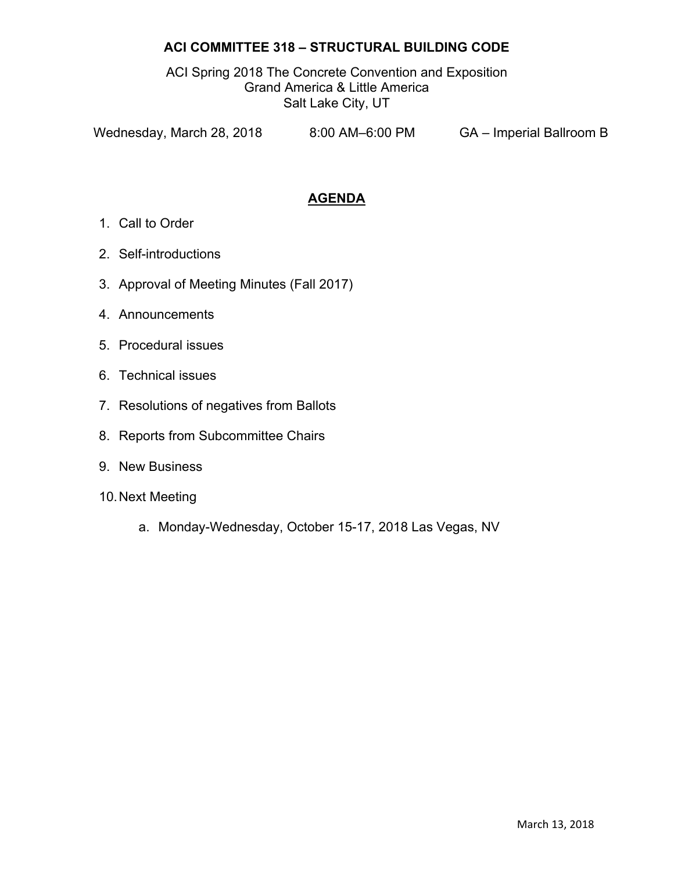## **ACI COMMITTEE 318 – STRUCTURAL BUILDING CODE**

ACI Spring 2018 The Concrete Convention and Exposition Grand America & Little America Salt Lake City, UT

Wednesday, March 28, 2018 8:00 AM–6:00 PM GA – Imperial Ballroom B

## **AGENDA**

- 1. Call to Order
- 2. Self-introductions
- 3. Approval of Meeting Minutes (Fall 2017)
- 4. Announcements
- 5. Procedural issues
- 6. Technical issues
- 7. Resolutions of negatives from Ballots
- 8. Reports from Subcommittee Chairs
- 9. New Business
- 10. Next Meeting
	- a. Monday-Wednesday, October 15-17, 2018 Las Vegas, NV